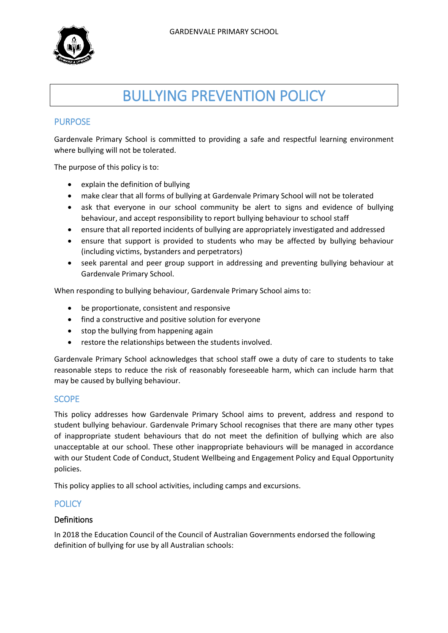

# BULLYING PREVENTION POLICY

## PURPOSE

Gardenvale Primary School is committed to providing a safe and respectful learning environment where bullying will not be tolerated.

The purpose of this policy is to:

- explain the definition of bullying
- make clear that all forms of bullying at Gardenvale Primary School will not be tolerated
- ask that everyone in our school community be alert to signs and evidence of bullying behaviour, and accept responsibility to report bullying behaviour to school staff
- ensure that all reported incidents of bullying are appropriately investigated and addressed
- ensure that support is provided to students who may be affected by bullying behaviour (including victims, bystanders and perpetrators)
- seek parental and peer group support in addressing and preventing bullying behaviour at Gardenvale Primary School.

When responding to bullying behaviour, Gardenvale Primary School aims to:

- be proportionate, consistent and responsive
- find a constructive and positive solution for everyone
- stop the bullying from happening again
- restore the relationships between the students involved.

Gardenvale Primary School acknowledges that school staff owe a duty of care to students to take reasonable steps to reduce the risk of reasonably foreseeable harm, which can include harm that may be caused by bullying behaviour.

#### **SCOPE**

This policy addresses how Gardenvale Primary School aims to prevent, address and respond to student bullying behaviour. Gardenvale Primary School recognises that there are many other types of inappropriate student behaviours that do not meet the definition of bullying which are also unacceptable at our school. These other inappropriate behaviours will be managed in accordance with our Student Code of Conduct, Student Wellbeing and Engagement Policy and Equal Opportunity policies.

This policy applies to all school activities, including camps and excursions.

## **POLICY**

#### Definitions

In 2018 the Education Council of the Council of Australian Governments endorsed the following definition of bullying for use by all Australian schools: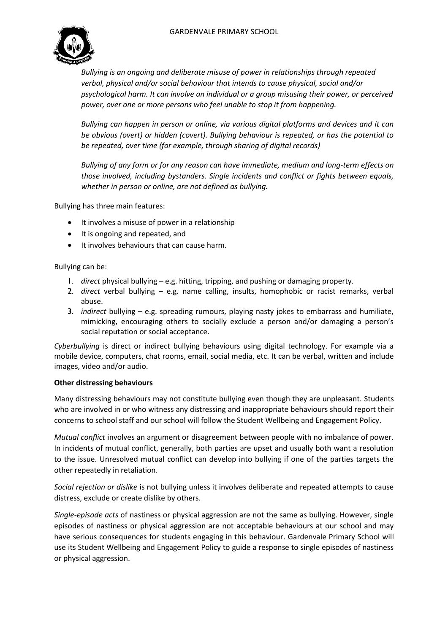

*Bullying is an ongoing and deliberate misuse of power in relationships through repeated verbal, physical and/or social behaviour that intends to cause physical, social and/or psychological harm. It can involve an individual or a group misusing their power, or perceived power, over one or more persons who feel unable to stop it from happening.*

*Bullying can happen in person or online, via various digital platforms and devices and it can be obvious (overt) or hidden (covert). Bullying behaviour is repeated, or has the potential to be repeated, over time (for example, through sharing of digital records)*

*Bullying of any form or for any reason can have immediate, medium and long-term effects on those involved, including bystanders. Single incidents and conflict or fights between equals, whether in person or online, are not defined as bullying.*

Bullying has three main features:

- It involves a misuse of power in a relationship
- It is ongoing and repeated, and
- $\bullet$  It involves behaviours that can cause harm.

#### Bullying can be:

- 1. *direct* physical bullying e.g. hitting, tripping, and pushing or damaging property.
- 2. *direct* verbal bullying e.g. name calling, insults, homophobic or racist remarks, verbal abuse.
- 3. *indirect* bullying e.g. spreading rumours, playing nasty jokes to embarrass and humiliate, mimicking, encouraging others to socially exclude a person and/or damaging a person's social reputation or social acceptance.

*Cyberbullying* is direct or indirect bullying behaviours using digital technology. For example via a mobile device, computers, chat rooms, email, social media, etc. It can be verbal, written and include images, video and/or audio.

#### **Other distressing behaviours**

Many distressing behaviours may not constitute bullying even though they are unpleasant. Students who are involved in or who witness any distressing and inappropriate behaviours should report their concerns to school staff and our school will follow the Student Wellbeing and Engagement Policy.

*Mutual conflict* involves an argument or disagreement between people with no imbalance of power. In incidents of mutual conflict, generally, both parties are upset and usually both want a resolution to the issue. Unresolved mutual conflict can develop into bullying if one of the parties targets the other repeatedly in retaliation.

*Social rejection or dislike* is not bullying unless it involves deliberate and repeated attempts to cause distress, exclude or create dislike by others.

*Single-episode acts* of nastiness or physical aggression are not the same as bullying. However, single episodes of nastiness or physical aggression are not acceptable behaviours at our school and may have serious consequences for students engaging in this behaviour. Gardenvale Primary School will use its Student Wellbeing and Engagement Policy to guide a response to single episodes of nastiness or physical aggression.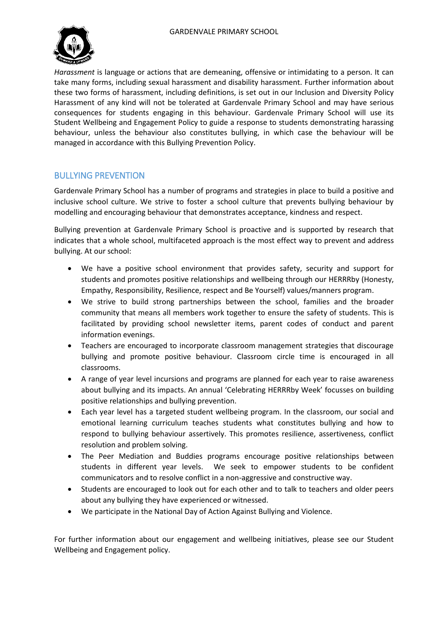

*Harassment* is language or actions that are demeaning, offensive or intimidating to a person. It can take many forms, including sexual harassment and disability harassment. Further information about these two forms of harassment, including definitions, is set out in our Inclusion and Diversity Policy Harassment of any kind will not be tolerated at Gardenvale Primary School and may have serious consequences for students engaging in this behaviour. Gardenvale Primary School will use its Student Wellbeing and Engagement Policy to guide a response to students demonstrating harassing behaviour, unless the behaviour also constitutes bullying, in which case the behaviour will be managed in accordance with this Bullying Prevention Policy.

## BULLYING PREVENTION

Gardenvale Primary School has a number of programs and strategies in place to build a positive and inclusive school culture. We strive to foster a school culture that prevents bullying behaviour by modelling and encouraging behaviour that demonstrates acceptance, kindness and respect.

Bullying prevention at Gardenvale Primary School is proactive and is supported by research that indicates that a whole school, multifaceted approach is the most effect way to prevent and address bullying. At our school:

- We have a positive school environment that provides safety, security and support for students and promotes positive relationships and wellbeing through our HERRRby (Honesty, Empathy, Responsibility, Resilience, respect and Be Yourself) values/manners program.
- We strive to build strong partnerships between the school, families and the broader community that means all members work together to ensure the safety of students. This is facilitated by providing school newsletter items, parent codes of conduct and parent information evenings.
- Teachers are encouraged to incorporate classroom management strategies that discourage bullying and promote positive behaviour. Classroom circle time is encouraged in all classrooms.
- A range of year level incursions and programs are planned for each year to raise awareness about bullying and its impacts. An annual 'Celebrating HERRRby Week' focusses on building positive relationships and bullying prevention.
- Each year level has a targeted student wellbeing program. In the classroom, our social and emotional learning curriculum teaches students what constitutes bullying and how to respond to bullying behaviour assertively. This promotes resilience, assertiveness, conflict resolution and problem solving.
- The Peer Mediation and Buddies programs encourage positive relationships between students in different year levels. We seek to empower students to be confident communicators and to resolve conflict in a non-aggressive and constructive way.
- Students are encouraged to look out for each other and to talk to teachers and older peers about any bullying they have experienced or witnessed.
- We participate in the National Day of Action Against Bullying and Violence.

For further information about our engagement and wellbeing initiatives, please see our Student Wellbeing and Engagement policy.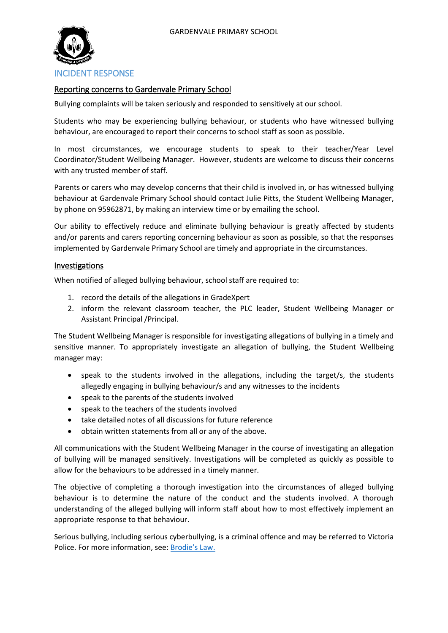

#### Reporting concerns to Gardenvale Primary School

Bullying complaints will be taken seriously and responded to sensitively at our school.

Students who may be experiencing bullying behaviour, or students who have witnessed bullying behaviour, are encouraged to report their concerns to school staff as soon as possible.

In most circumstances, we encourage students to speak to their teacher/Year Level Coordinator/Student Wellbeing Manager. However, students are welcome to discuss their concerns with any trusted member of staff.

Parents or carers who may develop concerns that their child is involved in, or has witnessed bullying behaviour at Gardenvale Primary School should contact Julie Pitts, the Student Wellbeing Manager, by phone on 95962871, by making an interview time or by emailing the school.

Our ability to effectively reduce and eliminate bullying behaviour is greatly affected by students and/or parents and carers reporting concerning behaviour as soon as possible, so that the responses implemented by Gardenvale Primary School are timely and appropriate in the circumstances.

#### Investigations

When notified of alleged bullying behaviour, school staff are required to:

- 1. record the details of the allegations in GradeXpert
- 2. inform the relevant classroom teacher, the PLC leader, Student Wellbeing Manager or Assistant Principal /Principal.

The Student Wellbeing Manager is responsible for investigating allegations of bullying in a timely and sensitive manner. To appropriately investigate an allegation of bullying, the Student Wellbeing manager may:

- speak to the students involved in the allegations, including the target/s, the students allegedly engaging in bullying behaviour/s and any witnesses to the incidents
- speak to the parents of the students involved
- speak to the teachers of the students involved
- take detailed notes of all discussions for future reference
- obtain written statements from all or any of the above.

All communications with the Student Wellbeing Manager in the course of investigating an allegation of bullying will be managed sensitively. Investigations will be completed as quickly as possible to allow for the behaviours to be addressed in a timely manner.

The objective of completing a thorough investigation into the circumstances of alleged bullying behaviour is to determine the nature of the conduct and the students involved. A thorough understanding of the alleged bullying will inform staff about how to most effectively implement an appropriate response to that behaviour.

Serious bullying, including serious cyberbullying, is a criminal offence and may be referred to Victoria Police. For more information, see: [Brodie's Law.](http://www.education.vic.gov.au/about/programs/bullystoppers/Pages/advicesheetbrodieslaw.aspx)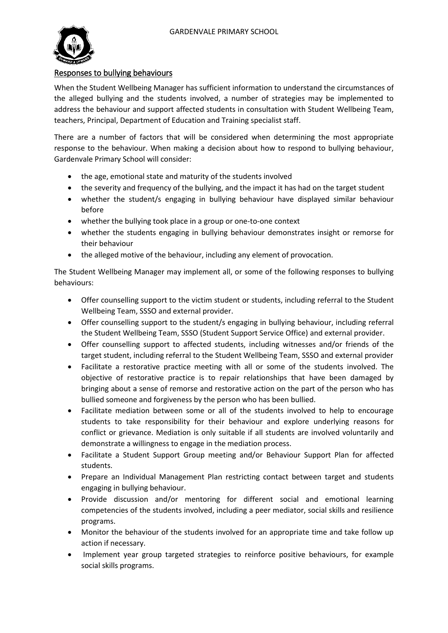

#### Responses to bullying behaviours

When the Student Wellbeing Manager has sufficient information to understand the circumstances of the alleged bullying and the students involved, a number of strategies may be implemented to address the behaviour and support affected students in consultation with Student Wellbeing Team, teachers, Principal, Department of Education and Training specialist staff.

There are a number of factors that will be considered when determining the most appropriate response to the behaviour. When making a decision about how to respond to bullying behaviour, Gardenvale Primary School will consider:

- the age, emotional state and maturity of the students involved
- the severity and frequency of the bullying, and the impact it has had on the target student
- whether the student/s engaging in bullying behaviour have displayed similar behaviour before
- whether the bullying took place in a group or one-to-one context
- whether the students engaging in bullying behaviour demonstrates insight or remorse for their behaviour
- the alleged motive of the behaviour, including any element of provocation.

The Student Wellbeing Manager may implement all, or some of the following responses to bullying behaviours:

- Offer counselling support to the victim student or students, including referral to the Student Wellbeing Team, SSSO and external provider.
- Offer counselling support to the student/s engaging in bullying behaviour, including referral the Student Wellbeing Team, SSSO (Student Support Service Office) and external provider.
- Offer counselling support to affected students, including witnesses and/or friends of the target student, including referral to the Student Wellbeing Team, SSSO and external provider
- Facilitate a restorative practice meeting with all or some of the students involved. The objective of restorative practice is to repair relationships that have been damaged by bringing about a sense of remorse and restorative action on the part of the person who has bullied someone and forgiveness by the person who has been bullied.
- Facilitate mediation between some or all of the students involved to help to encourage students to take responsibility for their behaviour and explore underlying reasons for conflict or grievance. Mediation is only suitable if all students are involved voluntarily and demonstrate a willingness to engage in the mediation process.
- Facilitate a Student Support Group meeting and/or Behaviour Support Plan for affected students.
- Prepare an Individual Management Plan restricting contact between target and students engaging in bullying behaviour.
- Provide discussion and/or mentoring for different social and emotional learning competencies of the students involved, including a peer mediator, social skills and resilience programs.
- Monitor the behaviour of the students involved for an appropriate time and take follow up action if necessary.
- Implement year group targeted strategies to reinforce positive behaviours, for example social skills programs.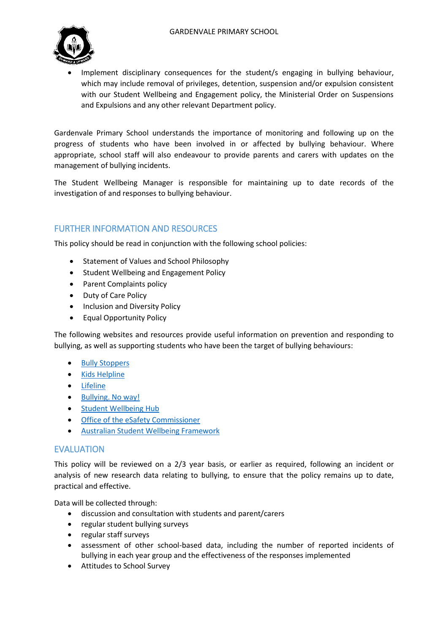

 Implement disciplinary consequences for the student/s engaging in bullying behaviour, which may include removal of privileges, detention, suspension and/or expulsion consistent with our Student Wellbeing and Engagement policy, the Ministerial Order on Suspensions and Expulsions and any other relevant Department policy.

Gardenvale Primary School understands the importance of monitoring and following up on the progress of students who have been involved in or affected by bullying behaviour. Where appropriate, school staff will also endeavour to provide parents and carers with updates on the management of bullying incidents.

The Student Wellbeing Manager is responsible for maintaining up to date records of the investigation of and responses to bullying behaviour.

## FURTHER INFORMATION AND RESOURCES

This policy should be read in conjunction with the following school policies:

- Statement of Values and School Philosophy
- Student Wellbeing and Engagement Policy
- Parent Complaints policy
- Duty of Care Policy
- Inclusion and Diversity Policy
- Equal Opportunity Policy

The following websites and resources provide useful information on prevention and responding to bullying, as well as supporting students who have been the target of bullying behaviours:

- **[Bully Stoppers](https://bullyingnoway.gov.au/PreventingBullying/Planning/Pages/School-policy.aspx)**
- [Kids Helpline](https://kidshelpline.com.au/)
- [Lifeline](https://www.lifeline.org.au/)
- [Bullying. No way!](https://bullyingnoway.gov.au/PreventingBullying/Planning/Pages/School-policy.aspx)
- [Student Wellbeing Hub](https://www.studentwellbeinghub.edu.au/)
- [Office of the eSafety Commissioner](https://www.esafety.gov.au/)
- [Australian Student Wellbeing Framework](https://www.studentwellbeinghub.edu.au/resources/detail?id=dd6b5222-d5c5-6d32-997d-ff0000a69c30#/)

#### EVALUATION

This policy will be reviewed on a 2/3 year basis, or earlier as required, following an incident or analysis of new research data relating to bullying, to ensure that the policy remains up to date, practical and effective.

Data will be collected through:

- discussion and consultation with students and parent/carers
- regular student bullying surveys
- regular staff surveys
- assessment of other school-based data, including the number of reported incidents of bullying in each year group and the effectiveness of the responses implemented
- Attitudes to School Survey